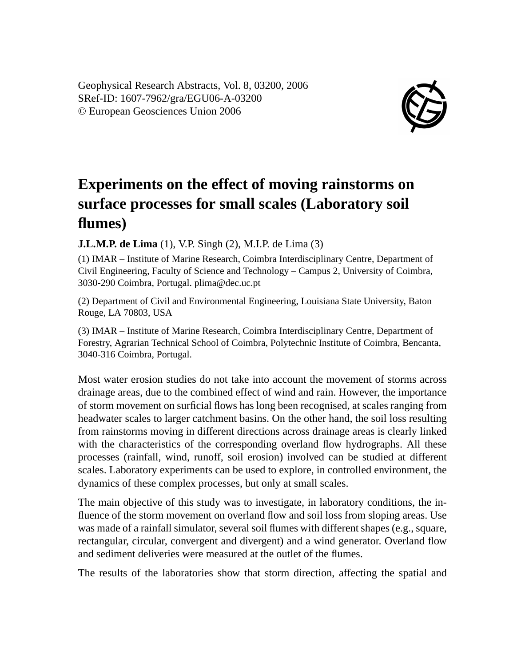Geophysical Research Abstracts, Vol. 8, 03200, 2006 SRef-ID: 1607-7962/gra/EGU06-A-03200 © European Geosciences Union 2006



## **Experiments on the effect of moving rainstorms on surface processes for small scales (Laboratory soil flumes)**

**J.L.M.P. de Lima** (1), V.P. Singh (2), M.I.P. de Lima (3)

(1) IMAR – Institute of Marine Research, Coimbra Interdisciplinary Centre, Department of Civil Engineering, Faculty of Science and Technology – Campus 2, University of Coimbra, 3030-290 Coimbra, Portugal. plima@dec.uc.pt

(2) Department of Civil and Environmental Engineering, Louisiana State University, Baton Rouge, LA 70803, USA

(3) IMAR – Institute of Marine Research, Coimbra Interdisciplinary Centre, Department of Forestry, Agrarian Technical School of Coimbra, Polytechnic Institute of Coimbra, Bencanta, 3040-316 Coimbra, Portugal.

Most water erosion studies do not take into account the movement of storms across drainage areas, due to the combined effect of wind and rain. However, the importance of storm movement on surficial flows has long been recognised, at scales ranging from headwater scales to larger catchment basins. On the other hand, the soil loss resulting from rainstorms moving in different directions across drainage areas is clearly linked with the characteristics of the corresponding overland flow hydrographs. All these processes (rainfall, wind, runoff, soil erosion) involved can be studied at different scales. Laboratory experiments can be used to explore, in controlled environment, the dynamics of these complex processes, but only at small scales.

The main objective of this study was to investigate, in laboratory conditions, the influence of the storm movement on overland flow and soil loss from sloping areas. Use was made of a rainfall simulator, several soil flumes with different shapes (e.g., square, rectangular, circular, convergent and divergent) and a wind generator. Overland flow and sediment deliveries were measured at the outlet of the flumes.

The results of the laboratories show that storm direction, affecting the spatial and